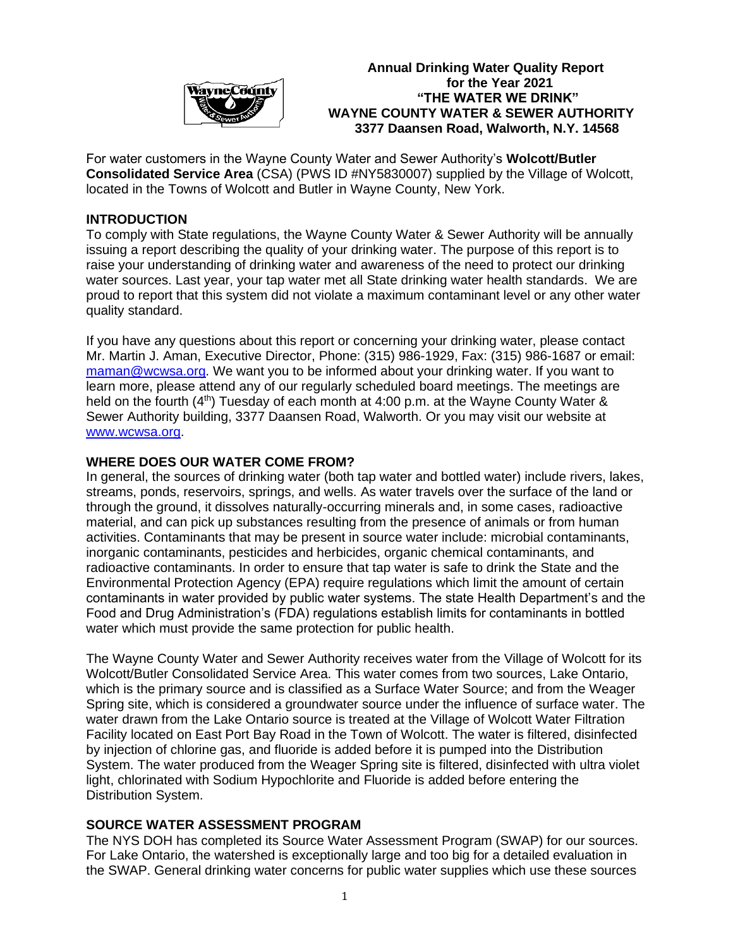

 **Annual Drinking Water Quality Report** *<u>For the Year 2021</u>*  **"THE WATER WE DRINK" WAYNE COUNTY WATER & SEWER AUTHORITY 3377 Daansen Road, Walworth, N.Y. 14568**

For water customers in the Wayne County Water and Sewer Authority's **Wolcott/Butler Consolidated Service Area** (CSA) (PWS ID #NY5830007) supplied by the Village of Wolcott, located in the Towns of Wolcott and Butler in Wayne County, New York.

### **INTRODUCTION**

To comply with State regulations, the Wayne County Water & Sewer Authority will be annually issuing a report describing the quality of your drinking water. The purpose of this report is to raise your understanding of drinking water and awareness of the need to protect our drinking water sources. Last year, your tap water met all State drinking water health standards. We are proud to report that this system did not violate a maximum contaminant level or any other water quality standard.

If you have any questions about this report or concerning your drinking water, please contact Mr. Martin J. Aman, Executive Director, Phone: (315) 986-1929, Fax: (315) 986-1687 or email: [maman@wcwsa.org.](mailto:maman@wcwsa.org) We want you to be informed about your drinking water. If you want to learn more, please attend any of our regularly scheduled board meetings. The meetings are held on the fourth  $(4<sup>th</sup>)$  Tuesday of each month at 4:00 p.m. at the Wayne County Water & Sewer Authority building, 3377 Daansen Road, Walworth. Or you may visit our website at [www.wcwsa.org.](http://www.wcwsa.org/)

### **WHERE DOES OUR WATER COME FROM?**

In general, the sources of drinking water (both tap water and bottled water) include rivers, lakes, streams, ponds, reservoirs, springs, and wells. As water travels over the surface of the land or through the ground, it dissolves naturally-occurring minerals and, in some cases, radioactive material, and can pick up substances resulting from the presence of animals or from human activities. Contaminants that may be present in source water include: microbial contaminants, inorganic contaminants, pesticides and herbicides, organic chemical contaminants, and radioactive contaminants. In order to ensure that tap water is safe to drink the State and the Environmental Protection Agency (EPA) require regulations which limit the amount of certain contaminants in water provided by public water systems. The state Health Department's and the Food and Drug Administration's (FDA) regulations establish limits for contaminants in bottled water which must provide the same protection for public health.

The Wayne County Water and Sewer Authority receives water from the Village of Wolcott for its Wolcott/Butler Consolidated Service Area. This water comes from two sources, Lake Ontario, which is the primary source and is classified as a Surface Water Source; and from the Weager Spring site, which is considered a groundwater source under the influence of surface water. The water drawn from the Lake Ontario source is treated at the Village of Wolcott Water Filtration Facility located on East Port Bay Road in the Town of Wolcott. The water is filtered, disinfected by injection of chlorine gas, and fluoride is added before it is pumped into the Distribution System. The water produced from the Weager Spring site is filtered, disinfected with ultra violet light, chlorinated with Sodium Hypochlorite and Fluoride is added before entering the Distribution System.

### **SOURCE WATER ASSESSMENT PROGRAM**

The NYS DOH has completed its Source Water Assessment Program (SWAP) for our sources. For Lake Ontario, the watershed is exceptionally large and too big for a detailed evaluation in the SWAP. General drinking water concerns for public water supplies which use these sources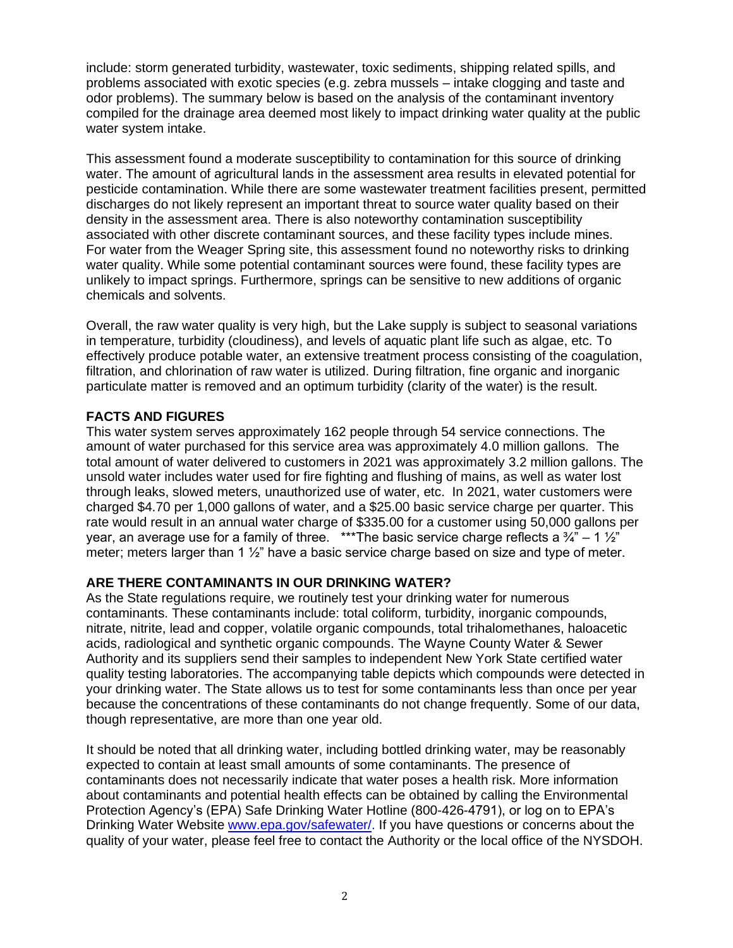include: storm generated turbidity, wastewater, toxic sediments, shipping related spills, and problems associated with exotic species (e.g. zebra mussels – intake clogging and taste and odor problems). The summary below is based on the analysis of the contaminant inventory compiled for the drainage area deemed most likely to impact drinking water quality at the public water system intake.

This assessment found a moderate susceptibility to contamination for this source of drinking water. The amount of agricultural lands in the assessment area results in elevated potential for pesticide contamination. While there are some wastewater treatment facilities present, permitted discharges do not likely represent an important threat to source water quality based on their density in the assessment area. There is also noteworthy contamination susceptibility associated with other discrete contaminant sources, and these facility types include mines. For water from the Weager Spring site, this assessment found no noteworthy risks to drinking water quality. While some potential contaminant sources were found, these facility types are unlikely to impact springs. Furthermore, springs can be sensitive to new additions of organic chemicals and solvents.

Overall, the raw water quality is very high, but the Lake supply is subject to seasonal variations in temperature, turbidity (cloudiness), and levels of aquatic plant life such as algae, etc. To effectively produce potable water, an extensive treatment process consisting of the coagulation, filtration, and chlorination of raw water is utilized. During filtration, fine organic and inorganic particulate matter is removed and an optimum turbidity (clarity of the water) is the result.

# **FACTS AND FIGURES**

This water system serves approximately 162 people through 54 service connections. The amount of water purchased for this service area was approximately 4.0 million gallons. The total amount of water delivered to customers in 2021 was approximately 3.2 million gallons. The unsold water includes water used for fire fighting and flushing of mains, as well as water lost through leaks, slowed meters, unauthorized use of water, etc. In 2021, water customers were charged \$4.70 per 1,000 gallons of water, and a \$25.00 basic service charge per quarter. This rate would result in an annual water charge of \$335.00 for a customer using 50,000 gallons per year, an average use for a family of three. \*\*\* The basic service charge reflects a  $\frac{3}{4} - 1 \frac{1}{2}$ meter; meters larger than 1 ½" have a basic service charge based on size and type of meter.

# **ARE THERE CONTAMINANTS IN OUR DRINKING WATER?**

As the State regulations require, we routinely test your drinking water for numerous contaminants. These contaminants include: total coliform, turbidity, inorganic compounds, nitrate, nitrite, lead and copper, volatile organic compounds, total trihalomethanes, haloacetic acids, radiological and synthetic organic compounds. The Wayne County Water & Sewer Authority and its suppliers send their samples to independent New York State certified water quality testing laboratories. The accompanying table depicts which compounds were detected in your drinking water. The State allows us to test for some contaminants less than once per year because the concentrations of these contaminants do not change frequently. Some of our data, though representative, are more than one year old.

It should be noted that all drinking water, including bottled drinking water, may be reasonably expected to contain at least small amounts of some contaminants. The presence of contaminants does not necessarily indicate that water poses a health risk. More information about contaminants and potential health effects can be obtained by calling the Environmental Protection Agency's (EPA) Safe Drinking Water Hotline (800-426-4791), or log on to EPA's Drinking Water Website [www.epa.gov/safewater/.](http://www.epa.gov/safewater/) If you have questions or concerns about the quality of your water, please feel free to contact the Authority or the local office of the NYSDOH.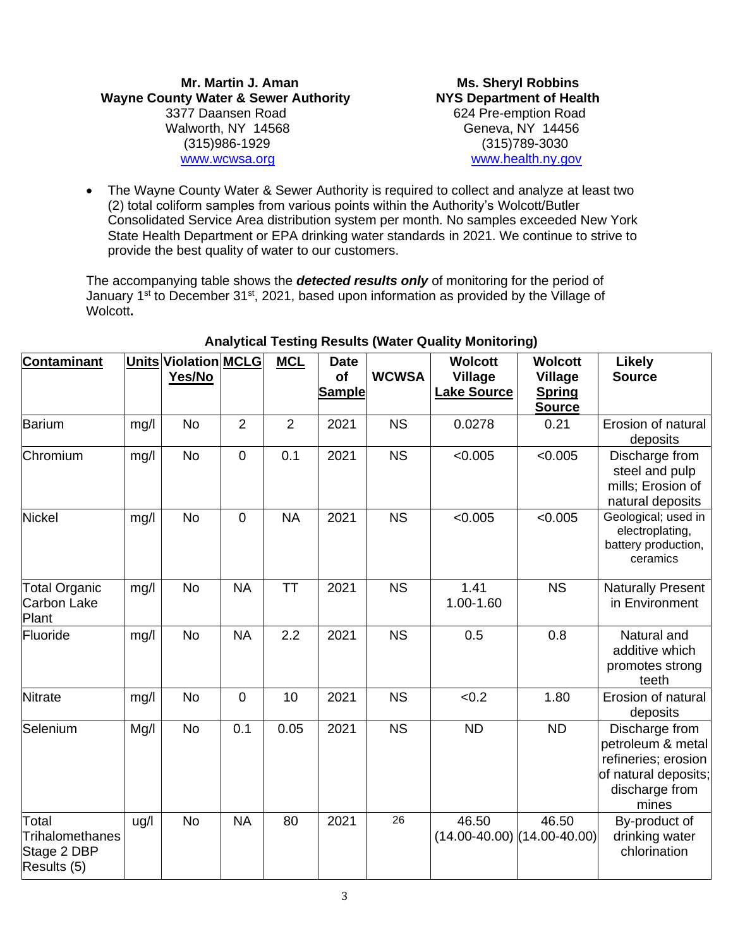**Mr. Martin J. Aman Ms. Sheryl Robbins** Wayne County Water & Sewer Authority **NYS Department of Health**  3377 Daansen Road 624 Pre-emption Road Walworth, NY 14568 Geneva, NY 14456 (315)986-1929 (315)789-3030 [www.wcwsa.org](http://www.wcwsa.org/) [www.health.ny.gov](http://www.health.ny.gov/)

• The Wayne County Water & Sewer Authority is required to collect and analyze at least two (2) total coliform samples from various points within the Authority's Wolcott/Butler Consolidated Service Area distribution system per month. No samples exceeded New York State Health Department or EPA drinking water standards in 2021. We continue to strive to provide the best quality of water to our customers.

The accompanying table shows the *detected results only* of monitoring for the period of January 1<sup>st</sup> to December 31<sup>st</sup>, 2021, based upon information as provided by the Village of Wolcott**.**

| Contaminant                                            |      | Units Violation MCLG<br>Yes/No |                | <b>MCL</b>     | <b>Date</b><br>of | <b>WCWSA</b> | <b>Wolcott</b><br><b>Village</b>         | <b>Wolcott</b><br><b>Village</b> | <b>Likely</b><br><b>Source</b>                                                                                |
|--------------------------------------------------------|------|--------------------------------|----------------|----------------|-------------------|--------------|------------------------------------------|----------------------------------|---------------------------------------------------------------------------------------------------------------|
|                                                        |      |                                |                |                | <b>Sample</b>     |              | <b>Lake Source</b>                       | <b>Spring</b><br><b>Source</b>   |                                                                                                               |
| Barium                                                 | mg/l | <b>No</b>                      | $\overline{2}$ | $\overline{2}$ | 2021              | <b>NS</b>    | 0.0278                                   | 0.21                             | Erosion of natural<br>deposits                                                                                |
| Chromium                                               | mg/l | <b>No</b>                      | $\mathbf 0$    | 0.1            | 2021              | <b>NS</b>    | < 0.005                                  | < 0.005                          | Discharge from<br>steel and pulp<br>mills; Erosion of<br>natural deposits                                     |
| <b>Nickel</b>                                          | mg/l | <b>No</b>                      | $\mathbf 0$    | <b>NA</b>      | 2021              | <b>NS</b>    | < 0.005                                  | < 0.005                          | Geological; used in<br>electroplating,<br>battery production,<br>ceramics                                     |
| <b>Total Organic</b><br>Carbon Lake<br>Plant           | mg/l | No                             | <b>NA</b>      | <b>TT</b>      | 2021              | <b>NS</b>    | 1.41<br>1.00-1.60                        | <b>NS</b>                        | <b>Naturally Present</b><br>in Environment                                                                    |
| Fluoride                                               | mg/l | <b>No</b>                      | <b>NA</b>      | 2.2            | 2021              | <b>NS</b>    | 0.5                                      | 0.8                              | Natural and<br>additive which<br>promotes strong<br>teeth                                                     |
| Nitrate                                                | mg/l | <b>No</b>                      | $\mathbf 0$    | 10             | 2021              | <b>NS</b>    | < 0.2                                    | 1.80                             | Erosion of natural<br>deposits                                                                                |
| Selenium                                               | Mg/I | <b>No</b>                      | 0.1            | 0.05           | 2021              | <b>NS</b>    | <b>ND</b>                                | <b>ND</b>                        | Discharge from<br>petroleum & metal<br>refineries; erosion<br>of natural deposits;<br>discharge from<br>mines |
| Total<br>Trihalomethanes<br>Stage 2 DBP<br>Results (5) | ug/l | <b>No</b>                      | <b>NA</b>      | 80             | 2021              | 26           | 46.50<br>$(14.00-40.00)$ $(14.00-40.00)$ | 46.50                            | By-product of<br>drinking water<br>chlorination                                                               |

### **Analytical Testing Results (Water Quality Monitoring)**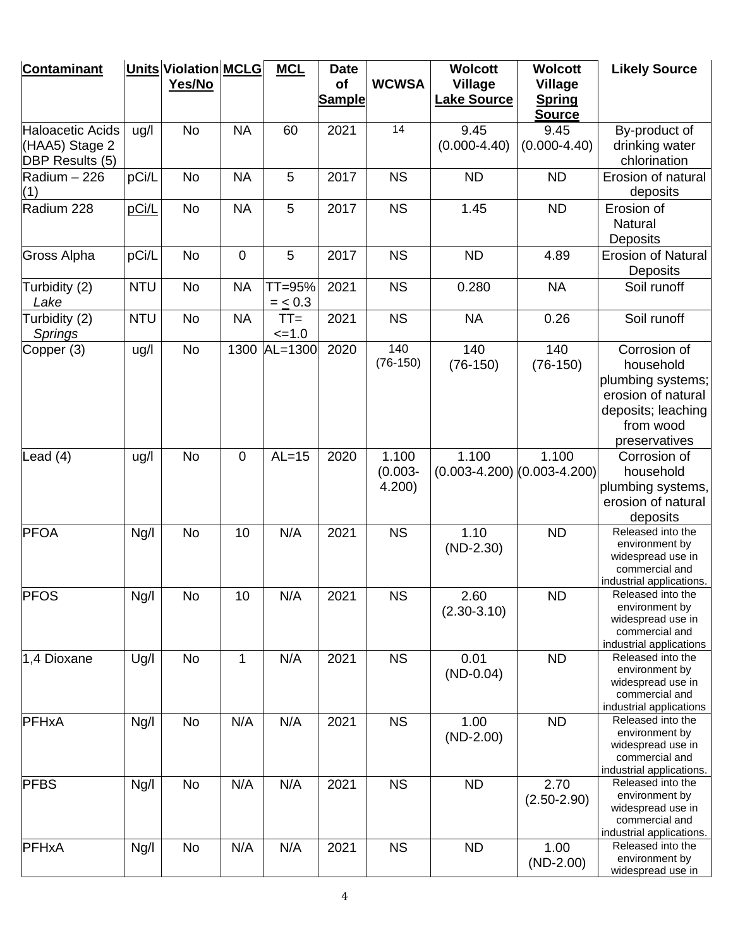| <b>Contaminant</b>                                    |            | Units Violation MCLG<br>Yes/No |             | <b>MCL</b>        | <b>Date</b><br>of<br><b>Sample</b> | <b>WCWSA</b>                 | <b>Wolcott</b><br><b>Village</b><br><b>Lake Source</b> | <b>Wolcott</b><br><b>Village</b><br><b>Spring</b><br><b>Source</b> | <b>Likely Source</b>                                                                                                     |
|-------------------------------------------------------|------------|--------------------------------|-------------|-------------------|------------------------------------|------------------------------|--------------------------------------------------------|--------------------------------------------------------------------|--------------------------------------------------------------------------------------------------------------------------|
| Haloacetic Acids<br>(HAA5) Stage 2<br>DBP Results (5) | ug/l       | No                             | <b>NA</b>   | 60                | 2021                               | 14                           | 9.45<br>$(0.000-4.40)$                                 | 9.45<br>$(0.000-4.40)$                                             | By-product of<br>drinking water<br>chlorination                                                                          |
| Radium - 226<br>(1)                                   | pCi/L      | <b>No</b>                      | <b>NA</b>   | 5                 | 2017                               | <b>NS</b>                    | <b>ND</b>                                              | <b>ND</b>                                                          | Erosion of natural<br>deposits                                                                                           |
| Radium 228                                            | pCi/L      | No                             | <b>NA</b>   | 5                 | 2017                               | <b>NS</b>                    | 1.45                                                   | <b>ND</b>                                                          | Erosion of<br>Natural<br>Deposits                                                                                        |
| Gross Alpha                                           | pCi/L      | No                             | $\mathbf 0$ | 5                 | 2017                               | <b>NS</b>                    | <b>ND</b>                                              | 4.89                                                               | <b>Erosion of Natural</b><br>Deposits                                                                                    |
| Turbidity (2)<br>Lake                                 | <b>NTU</b> | No                             | <b>NA</b>   | TT=95%<br>$= 6.3$ | 2021                               | <b>NS</b>                    | 0.280                                                  | <b>NA</b>                                                          | Soil runoff                                                                                                              |
| Turbidity (2)<br><b>Springs</b>                       | <b>NTU</b> | No                             | <b>NA</b>   | $TT =$<br>$=1.0$  | 2021                               | <b>NS</b>                    | <b>NA</b>                                              | 0.26                                                               | Soil runoff                                                                                                              |
| Copper (3)                                            | ug/l       | No                             | 1300        | $AL=1300$         | 2020                               | 140<br>$(76-150)$            | 140<br>$(76-150)$                                      | 140<br>$(76-150)$                                                  | Corrosion of<br>household<br>plumbing systems;<br>erosion of natural<br>deposits; leaching<br>from wood<br>preservatives |
| Lead $(4)$                                            | ug/l       | No                             | $\mathbf 0$ | $AL=15$           | 2020                               | 1.100<br>$(0.003 -$<br>4.200 | 1.100<br>$(0.003-4.200)$ $(0.003-4.200)$               | 1.100                                                              | Corrosion of<br>household<br>plumbing systems,<br>erosion of natural<br>deposits                                         |
| <b>PFOA</b>                                           | Ng/l       | No                             | 10          | N/A               | 2021                               | <b>NS</b>                    | 1.10<br>$(ND-2.30)$                                    | <b>ND</b>                                                          | Released into the<br>environment by<br>widespread use in<br>commercial and<br>industrial applications.                   |
| <b>PFOS</b>                                           | Ng/l       | No                             | 10          | N/A               | 2021                               | <b>NS</b>                    | 2.60<br>$(2.30 - 3.10)$                                | ${\sf ND}$                                                         | Released into the<br>environment by<br>widespread use in<br>commercial and<br>industrial applications                    |
| 1,4 Dioxane                                           | Ug/l       | <b>No</b>                      | 1           | N/A               | 2021                               | <b>NS</b>                    | 0.01<br>$(ND-0.04)$                                    | <b>ND</b>                                                          | Released into the<br>environment by<br>widespread use in<br>commercial and<br>industrial applications                    |
| PFHxA                                                 | Ng/l       | No                             | N/A         | N/A               | 2021                               | <b>NS</b>                    | 1.00<br>$(ND-2.00)$                                    | <b>ND</b>                                                          | Released into the<br>environment by<br>widespread use in<br>commercial and<br>industrial applications.                   |
| <b>PFBS</b>                                           | Ng/l       | No                             | N/A         | N/A               | 2021                               | <b>NS</b>                    | <b>ND</b>                                              | 2.70<br>$(2.50 - 2.90)$                                            | Released into the<br>environment by<br>widespread use in<br>commercial and<br>industrial applications.                   |
| PFHxA                                                 | Ng/l       | No                             | N/A         | N/A               | 2021                               | <b>NS</b>                    | <b>ND</b>                                              | 1.00<br>$(ND-2.00)$                                                | Released into the<br>environment by<br>widespread use in                                                                 |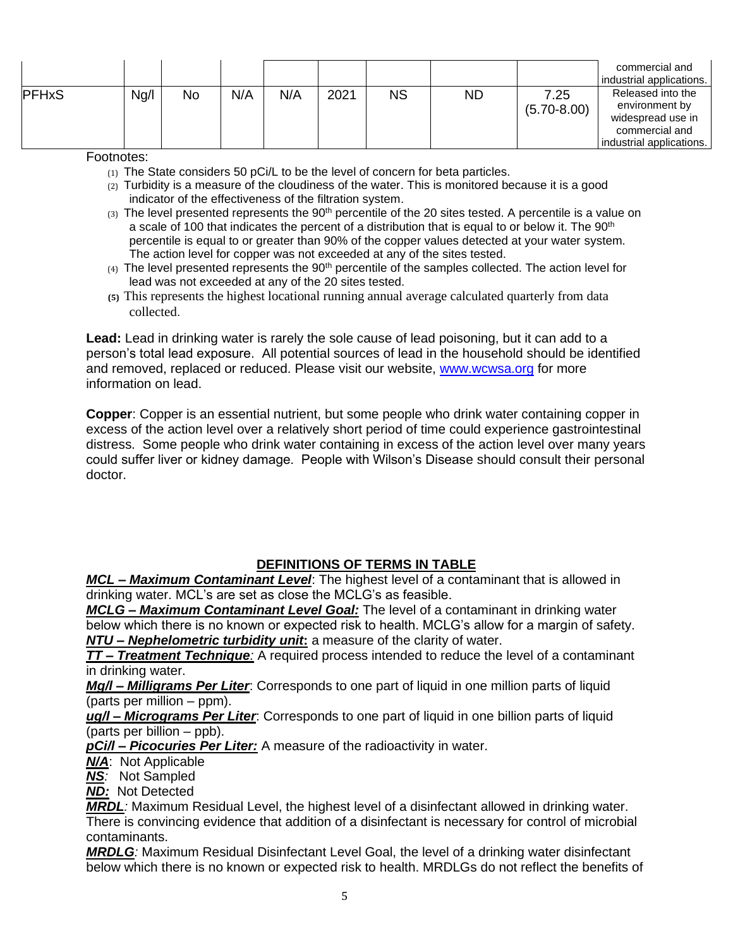|              |      |           |     |     |      |           |           |                         | commercial and<br>industrial applications.                                                             |
|--------------|------|-----------|-----|-----|------|-----------|-----------|-------------------------|--------------------------------------------------------------------------------------------------------|
| <b>PFHxS</b> | Ng/l | <b>No</b> | N/A | N/A | 2021 | <b>NS</b> | <b>ND</b> | 7.25<br>$(5.70 - 8.00)$ | Released into the<br>environment by<br>widespread use in<br>commercial and<br>industrial applications. |

### Footnotes:

(1) The State considers 50 pCi/L to be the level of concern for beta particles.

- (2) Turbidity is a measure of the cloudiness of the water. This is monitored because it is a good indicator of the effectiveness of the filtration system.
- $(3)$  The level presented represents the  $90<sup>th</sup>$  percentile of the 20 sites tested. A percentile is a value on a scale of 100 that indicates the percent of a distribution that is equal to or below it. The 90<sup>th</sup> percentile is equal to or greater than 90% of the copper values detected at your water system. The action level for copper was not exceeded at any of the sites tested.
- $(4)$  The level presented represents the 90<sup>th</sup> percentile of the samples collected. The action level for lead was not exceeded at any of the 20 sites tested.
- **(5)** This represents the highest locational running annual average calculated quarterly from data collected.

**Lead:** Lead in drinking water is rarely the sole cause of lead poisoning, but it can add to a person's total lead exposure. All potential sources of lead in the household should be identified and removed, replaced or reduced. Please visit our website, [www.wcwsa.org](http://www.wcwsa.org/) for more information on lead.

**Copper**: Copper is an essential nutrient, but some people who drink water containing copper in excess of the action level over a relatively short period of time could experience gastrointestinal distress. Some people who drink water containing in excess of the action level over many years could suffer liver or kidney damage. People with Wilson's Disease should consult their personal doctor.

# **DEFINITIONS OF TERMS IN TABLE**

*MCL – Maximum Contaminant Level*: The highest level of a contaminant that is allowed in drinking water. MCL's are set as close the MCLG's as feasible.

*MCLG – Maximum Contaminant Level Goal:* The level of a contaminant in drinking water below which there is no known or expected risk to health. MCLG's allow for a margin of safety. *NTU – Nephelometric turbidity unit***:** a measure of the clarity of water.

*TT – Treatment Technique:* A required process intended to reduce the level of a contaminant in drinking water.

*Mg/l – Milligrams Per Liter*: Corresponds to one part of liquid in one million parts of liquid (parts per million – ppm).

*ug/l – Micrograms Per Liter*: Corresponds to one part of liquid in one billion parts of liquid (parts per billion – ppb).

*pCi/l – Picocuries Per Liter:* A measure of the radioactivity in water.

*N/A*: Not Applicable

*NS:* Not Sampled

*ND:*Not Detected

*MRDL:* Maximum Residual Level, the highest level of a disinfectant allowed in drinking water. There is convincing evidence that addition of a disinfectant is necessary for control of microbial contaminants.

*MRDLG:* Maximum Residual Disinfectant Level Goal, the level of a drinking water disinfectant below which there is no known or expected risk to health. MRDLGs do not reflect the benefits of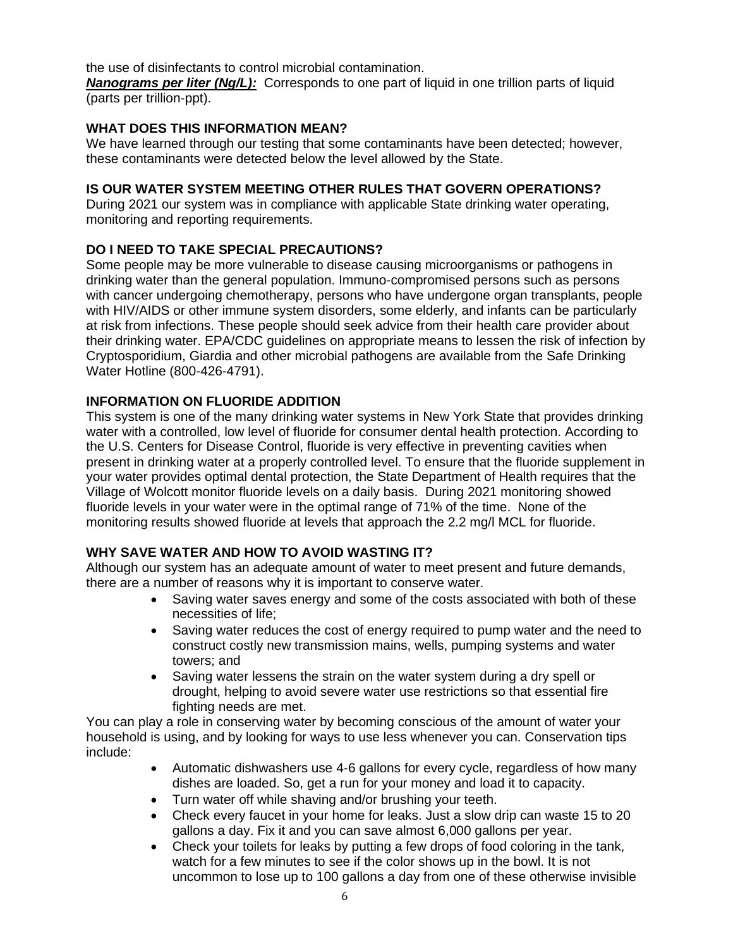the use of disinfectants to control microbial contamination.

**Nanograms per liter (Ng/L):** Corresponds to one part of liquid in one trillion parts of liquid (parts per trillion-ppt).

### **WHAT DOES THIS INFORMATION MEAN?**

We have learned through our testing that some contaminants have been detected; however, these contaminants were detected below the level allowed by the State.

## **IS OUR WATER SYSTEM MEETING OTHER RULES THAT GOVERN OPERATIONS?**

During 2021 our system was in compliance with applicable State drinking water operating, monitoring and reporting requirements.

# **DO I NEED TO TAKE SPECIAL PRECAUTIONS?**

Some people may be more vulnerable to disease causing microorganisms or pathogens in drinking water than the general population. Immuno-compromised persons such as persons with cancer undergoing chemotherapy, persons who have undergone organ transplants, people with HIV/AIDS or other immune system disorders, some elderly, and infants can be particularly at risk from infections. These people should seek advice from their health care provider about their drinking water. EPA/CDC guidelines on appropriate means to lessen the risk of infection by Cryptosporidium, Giardia and other microbial pathogens are available from the Safe Drinking Water Hotline (800-426-4791).

# **INFORMATION ON FLUORIDE ADDITION**

This system is one of the many drinking water systems in New York State that provides drinking water with a controlled, low level of fluoride for consumer dental health protection. According to the U.S. Centers for Disease Control, fluoride is very effective in preventing cavities when present in drinking water at a properly controlled level. To ensure that the fluoride supplement in your water provides optimal dental protection, the State Department of Health requires that the Village of Wolcott monitor fluoride levels on a daily basis. During 2021 monitoring showed fluoride levels in your water were in the optimal range of 71% of the time. None of the monitoring results showed fluoride at levels that approach the 2.2 mg/l MCL for fluoride.

# **WHY SAVE WATER AND HOW TO AVOID WASTING IT?**

Although our system has an adequate amount of water to meet present and future demands, there are a number of reasons why it is important to conserve water.

- Saving water saves energy and some of the costs associated with both of these necessities of life;
- Saving water reduces the cost of energy required to pump water and the need to construct costly new transmission mains, wells, pumping systems and water towers; and
- Saving water lessens the strain on the water system during a dry spell or drought, helping to avoid severe water use restrictions so that essential fire fighting needs are met.

You can play a role in conserving water by becoming conscious of the amount of water your household is using, and by looking for ways to use less whenever you can. Conservation tips include:

- Automatic dishwashers use 4-6 gallons for every cycle, regardless of how many dishes are loaded. So, get a run for your money and load it to capacity.
- Turn water off while shaving and/or brushing your teeth.
- Check every faucet in your home for leaks. Just a slow drip can waste 15 to 20 gallons a day. Fix it and you can save almost 6,000 gallons per year.
- Check your toilets for leaks by putting a few drops of food coloring in the tank, watch for a few minutes to see if the color shows up in the bowl. It is not uncommon to lose up to 100 gallons a day from one of these otherwise invisible